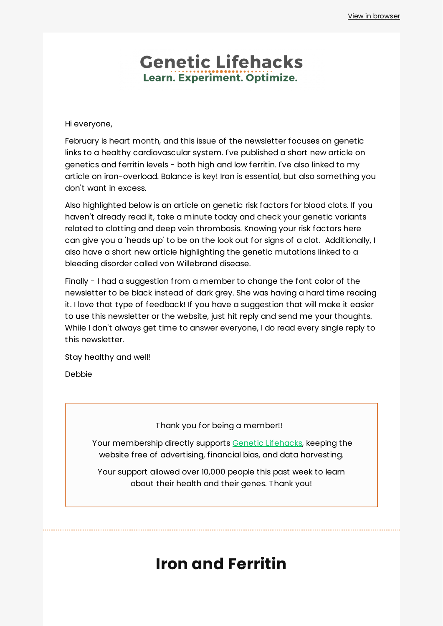## **Genetic Lifehacks** Learn. Experiment. Optimize.

Hi everyone,

February is heart month, and this issue of the newsletter focuses on genetic links to a healthy cardiovascular system. I've published a short new article on genetics and ferritin levels - both high and low ferritin. I've also linked to my article on iron-overload. Balance is key! Iron is essential, but also something you don't want in excess.

Also highlighted below is an article on genetic risk factors for blood clots. If you haven't already read it, take a minute today and check your genetic variants related to clotting and deep vein thrombosis. Knowing your risk factors here can give you a 'heads up' to be on the look out for signs of a clot. Additionally, I also have a short new article highlighting the genetic mutations linked to a bleeding disorder called von Willebrand disease.

Finally - I had a suggestion from a member to change the font color of the newsletter to be black instead of dark grey. She was having a hard time reading it. I love that type of feedback! If you have a suggestion that will make it easier to use this newsletter or the website, just hit reply and send me your thoughts. While I don't always get time to answer everyone, I do read every single reply to this newsletter.

Stay healthy and well!

Debbie

Thank you for being a member!!

Your membership directly supports Genetic [Lifehacks,](https://www.geneticlifehacks.com/) keeping the website free of advertising, financial bias, and data harvesting.

Your support allowed over 10,000 people this past week to learn about their health and their genes. Thank you!

## **Iron and Ferritin**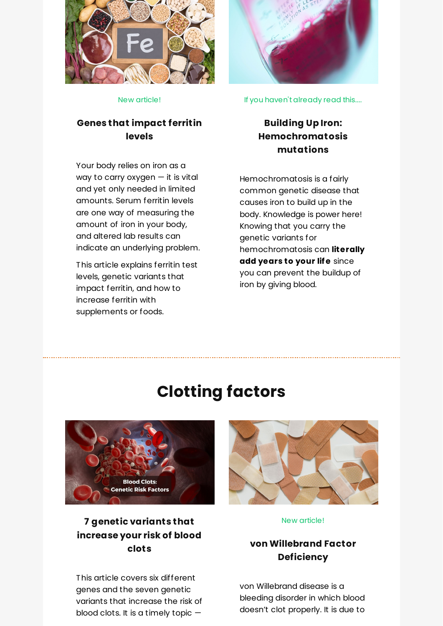

New article!

### **Genes that [impact](https://www.geneticlifehacks.com/genes-that-impact-ferritin-levels/) ferritin levels**

Your body relies on iron as a way to carry oxygen — it is vital and yet only needed in limited amounts. Serum ferritin levels are one way of measuring the amount of iron in your body, and altered lab results can indicate an underlying problem.

This article explains ferritin test levels, genetic variants that impact ferritin, and how to increase ferritin with supplements or foods.



If you haven't already read this....

## **Building Up Iron: [Hemochromatosis](https://www.geneticlifehacks.com/building-up-iron-genetics-diet-and-health-effects/) mutations**

Hemochromatosis is a fairly common genetic disease that causes iron to build up in the body. Knowledge is power here! Knowing that you carry the genetic variants for hemochromatosis can **literally add years to your life** since you can prevent the buildup of iron by giving blood.

# **Clotting factors**



## **7 genetic [variants](https://www.geneticlifehacks.com/7-genetic-variants-that-increase-your-risk-of-blood-clots/) that increase your risk of blood clots**

This article covers six different genes and the seven genetic variants that increase the risk of blood clots. It is a timely topic —



#### New article!

### **von [Willebrand](https://www.geneticlifehacks.com/von-willebrand-factor-deficiency/) Factor Deficiency**

von Willebrand disease is a bleeding disorder in which blood doesn't clot properly. It is due to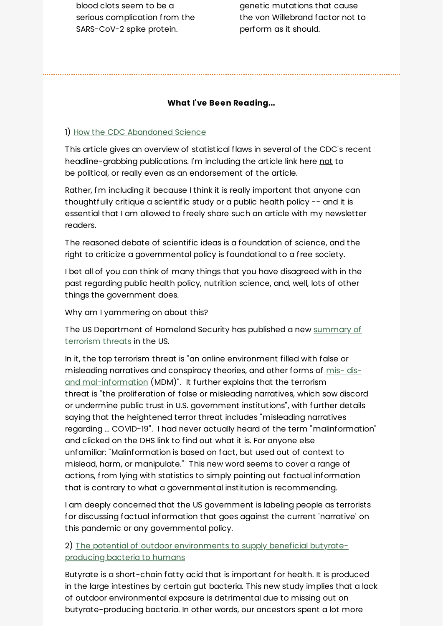blood clots seem to be a serious complication from the SARS-CoV-2 spike protein.

genetic mutations that cause the von Willebrand factor not to perform as it should.

#### **What I've Been Reading...**

#### 1) How the CDC [Abandoned](https://www.tabletmag.com/sections/science/articles/how-the-cdc-abandoned-science) Science

This article gives an overview of statistical flaws in several of the CDC's recent headline-grabbing publications. I'm including the article link here not to be political, or really even as an endorsement of the article.

Rather, I'm including it because I think it is really important that anyone can thoughtfully critique a scientific study or a public health policy -- and it is essential that I am allowed to freely share such an article with my newsletter readers.

The reasoned debate of scientific ideas is a foundation of science, and the right to criticize a governmental policy is foundational to a free society.

I bet all of you can think of many things that you have disagreed with in the past regarding public health policy, nutrition science, and, well, lots of other things the government does.

Why am I yammering on about this?

The US [Department](https://www.dhs.gov/ntas/advisory/national-terrorism-advisory-system-bulletin-february-07-2022) of Homeland Security has published a new summary of terrorism threats in the US.

In it, the top terrorism threat is "an online environment filled with false or misleading narratives and conspiracy theories, and other forms of mis- disand [mal-information](https://www.cisa.gov/mdm) (MDM)". It further explains that the terrorism threat is "the proliferation of false or misleading narratives, which sow discord or undermine public trust in U.S. government institutions", with further details saying that the heightened terror threat includes "misleading narratives regarding ... COVID-19". I had never actually heard of the term "malinformation" and clicked on the DHS link to find out what it is. For anyone else unfamiliar: "Malinformation is based on fact, but used out of context to mislead, harm, or manipulate." This new word seems to cover a range of actions, from lying with statistics to simply pointing out factual information that is contrary to what a governmental institution is recommending.

I am deeply concerned that the US government is labeling people as terrorists for discussing factual information that goes against the current 'narrative' on this pandemic or any governmental policy.

2) The potential of outdoor [environments](https://www.sciencedirect.com/science/article/abs/pii/S004896972101130X?via%3Dihub) to supply beneficial butyrateproducing bacteria to humans

Butyrate is a short-chain fatty acid that is important for health. It is produced in the large intestines by certain gut bacteria. This new study implies that a lack of outdoor environmental exposure is detrimental due to missing out on butyrate-producing bacteria. In other words, our ancestors spent a lot more